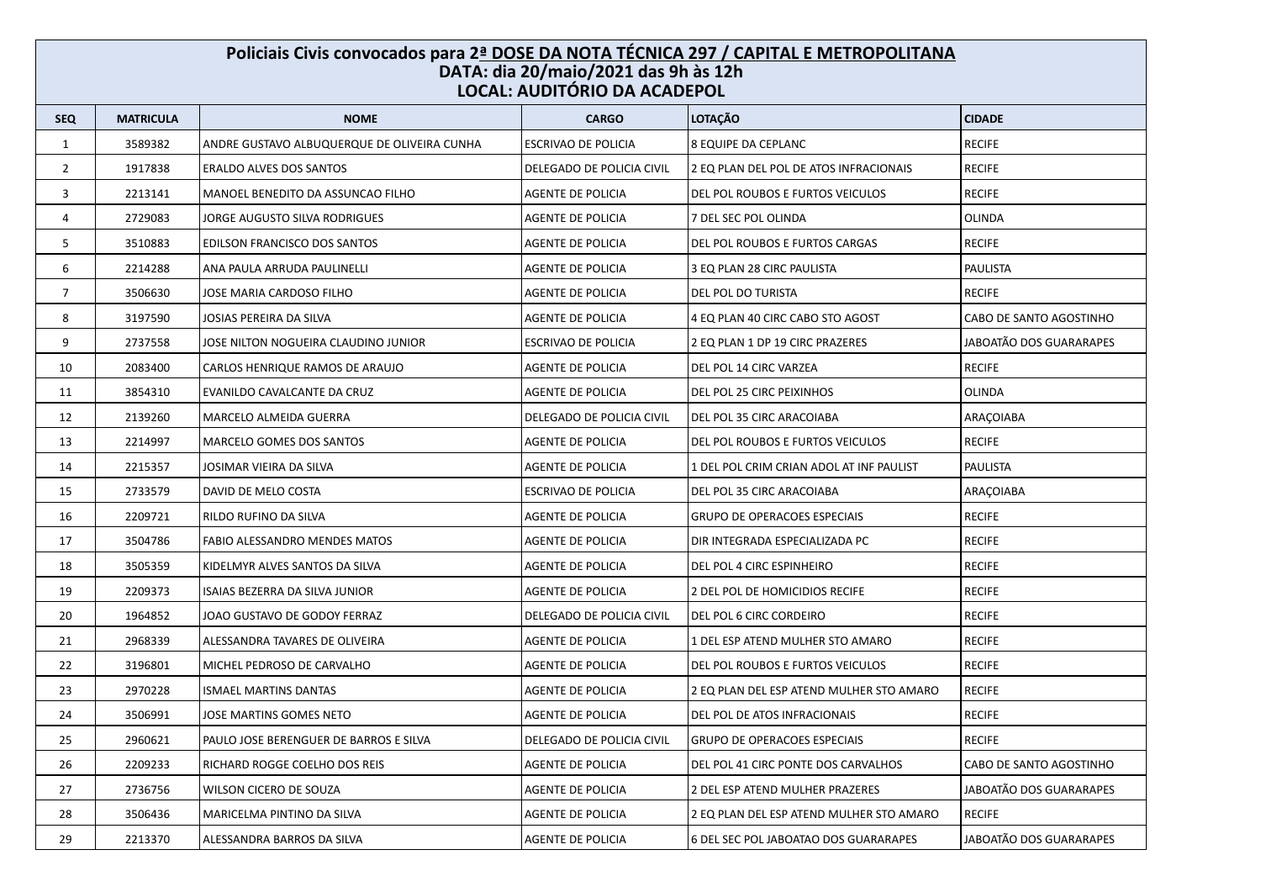## **Policiais Civis convocados para 2ª DOSE DA NOTA TÉCNICA 297 / CAPITAL E METROPOLITANA DATA: dia 20/maio/2021 das 9h às 12h LOCAL: AUDITÓRIO DA ACADEPOL**

| <b>SEQ</b>     | <b>MATRICULA</b> | <b>NOME</b>                                 | <b>CARGO</b>               | <b>LOTAÇÃO</b>                           | <b>CIDADE</b>           |
|----------------|------------------|---------------------------------------------|----------------------------|------------------------------------------|-------------------------|
| $\mathbf{1}$   | 3589382          | ANDRE GUSTAVO ALBUQUERQUE DE OLIVEIRA CUNHA | <b>ESCRIVAO DE POLICIA</b> | 8 EQUIPE DA CEPLANC                      | <b>RECIFE</b>           |
| $\overline{2}$ | 1917838          | <b>ERALDO ALVES DOS SANTOS</b>              | DELEGADO DE POLICIA CIVIL  | 2 EQ PLAN DEL POL DE ATOS INFRACIONAIS   | <b>RECIFE</b>           |
| 3              | 2213141          | MANOEL BENEDITO DA ASSUNCAO FILHO           | AGENTE DE POLICIA          | DEL POL ROUBOS E FURTOS VEICULOS         | <b>RECIFE</b>           |
| 4              | 2729083          | JORGE AUGUSTO SILVA RODRIGUES               | AGENTE DE POLICIA          | 7 DEL SEC POL OLINDA                     | <b>OLINDA</b>           |
| 5              | 3510883          | EDILSON FRANCISCO DOS SANTOS                | AGENTE DE POLICIA          | DEL POL ROUBOS E FURTOS CARGAS           | <b>RECIFE</b>           |
| 6              | 2214288          | ANA PAULA ARRUDA PAULINELLI                 | AGENTE DE POLICIA          | 3 EQ PLAN 28 CIRC PAULISTA               | PAULISTA                |
| $\overline{7}$ | 3506630          | JOSE MARIA CARDOSO FILHO                    | AGENTE DE POLICIA          | DEL POL DO TURISTA                       | <b>RECIFE</b>           |
| 8              | 3197590          | JOSIAS PEREIRA DA SILVA                     | <b>AGENTE DE POLICIA</b>   | 4 EQ PLAN 40 CIRC CABO STO AGOST         | CABO DE SANTO AGOSTINHO |
| 9              | 2737558          | JOSE NILTON NOGUEIRA CLAUDINO JUNIOR        | <b>ESCRIVAO DE POLICIA</b> | 2 EQ PLAN 1 DP 19 CIRC PRAZERES          | JABOATÃO DOS GUARARAPES |
| 10             | 2083400          | CARLOS HENRIQUE RAMOS DE ARAUJO             | AGENTE DE POLICIA          | DEL POL 14 CIRC VARZEA                   | <b>RECIFE</b>           |
| 11             | 3854310          | EVANILDO CAVALCANTE DA CRUZ                 | AGENTE DE POLICIA          | DEL POL 25 CIRC PEIXINHOS                | OLINDA                  |
| 12             | 2139260          | MARCELO ALMEIDA GUERRA                      | DELEGADO DE POLICIA CIVIL  | DEL POL 35 CIRC ARACOIABA                | ARAÇOIABA               |
| 13             | 2214997          | MARCELO GOMES DOS SANTOS                    | AGENTE DE POLICIA          | DEL POL ROUBOS E FURTOS VEICULOS         | <b>RECIFE</b>           |
| 14             | 2215357          | JOSIMAR VIEIRA DA SILVA                     | AGENTE DE POLICIA          | 1 DEL POL CRIM CRIAN ADOL AT INF PAULIST | <b>PAULISTA</b>         |
| 15             | 2733579          | DAVID DE MELO COSTA                         | ESCRIVAO DE POLICIA        | DEL POL 35 CIRC ARACOIABA                | ARAÇOIABA               |
| 16             | 2209721          | RILDO RUFINO DA SILVA                       | <b>AGENTE DE POLICIA</b>   | <b>GRUPO DE OPERACOES ESPECIAIS</b>      | <b>RECIFE</b>           |
| 17             | 3504786          | FABIO ALESSANDRO MENDES MATOS               | AGENTE DE POLICIA          | DIR INTEGRADA ESPECIALIZADA PC           | <b>RECIFE</b>           |
| 18             | 3505359          | KIDELMYR ALVES SANTOS DA SILVA              | AGENTE DE POLICIA          | DEL POL 4 CIRC ESPINHEIRO                | <b>RECIFE</b>           |
| 19             | 2209373          | ISAIAS BEZERRA DA SILVA JUNIOR              | AGENTE DE POLICIA          | 2 DEL POL DE HOMICIDIOS RECIFE           | <b>RECIFE</b>           |
| 20             | 1964852          | JOAO GUSTAVO DE GODOY FERRAZ                | DELEGADO DE POLICIA CIVIL  | DEL POL 6 CIRC CORDEIRO                  | <b>RECIFE</b>           |
| 21             | 2968339          | ALESSANDRA TAVARES DE OLIVEIRA              | AGENTE DE POLICIA          | 1 DEL ESP ATEND MULHER STO AMARO         | <b>RECIFE</b>           |
| 22             | 3196801          | MICHEL PEDROSO DE CARVALHO                  | AGENTE DE POLICIA          | DEL POL ROUBOS E FURTOS VEICULOS         | <b>RECIFE</b>           |
| 23             | 2970228          | <b>ISMAEL MARTINS DANTAS</b>                | AGENTE DE POLICIA          | 2 EQ PLAN DEL ESP ATEND MULHER STO AMARO | <b>RECIFE</b>           |
| 24             | 3506991          | JOSE MARTINS GOMES NETO                     | AGENTE DE POLICIA          | DEL POL DE ATOS INFRACIONAIS             | <b>RECIFE</b>           |
| 25             | 2960621          | PAULO JOSE BERENGUER DE BARROS E SILVA      | DELEGADO DE POLICIA CIVIL  | <b>GRUPO DE OPERACOES ESPECIAIS</b>      | <b>RECIFE</b>           |
| 26             | 2209233          | RICHARD ROGGE COELHO DOS REIS               | AGENTE DE POLICIA          | DEL POL 41 CIRC PONTE DOS CARVALHOS      | CABO DE SANTO AGOSTINHO |
| 27             | 2736756          | WILSON CICERO DE SOUZA                      | AGENTE DE POLICIA          | 2 DEL ESP ATEND MULHER PRAZERES          | JABOATÃO DOS GUARARAPES |
| 28             | 3506436          | MARICELMA PINTINO DA SILVA                  | AGENTE DE POLICIA          | 2 EQ PLAN DEL ESP ATEND MULHER STO AMARO | <b>RECIFE</b>           |
| 29             | 2213370          | ALESSANDRA BARROS DA SILVA                  | <b>AGENTE DE POLICIA</b>   | 6 DEL SEC POL JABOATAO DOS GUARARAPES    | JABOATÃO DOS GUARARAPES |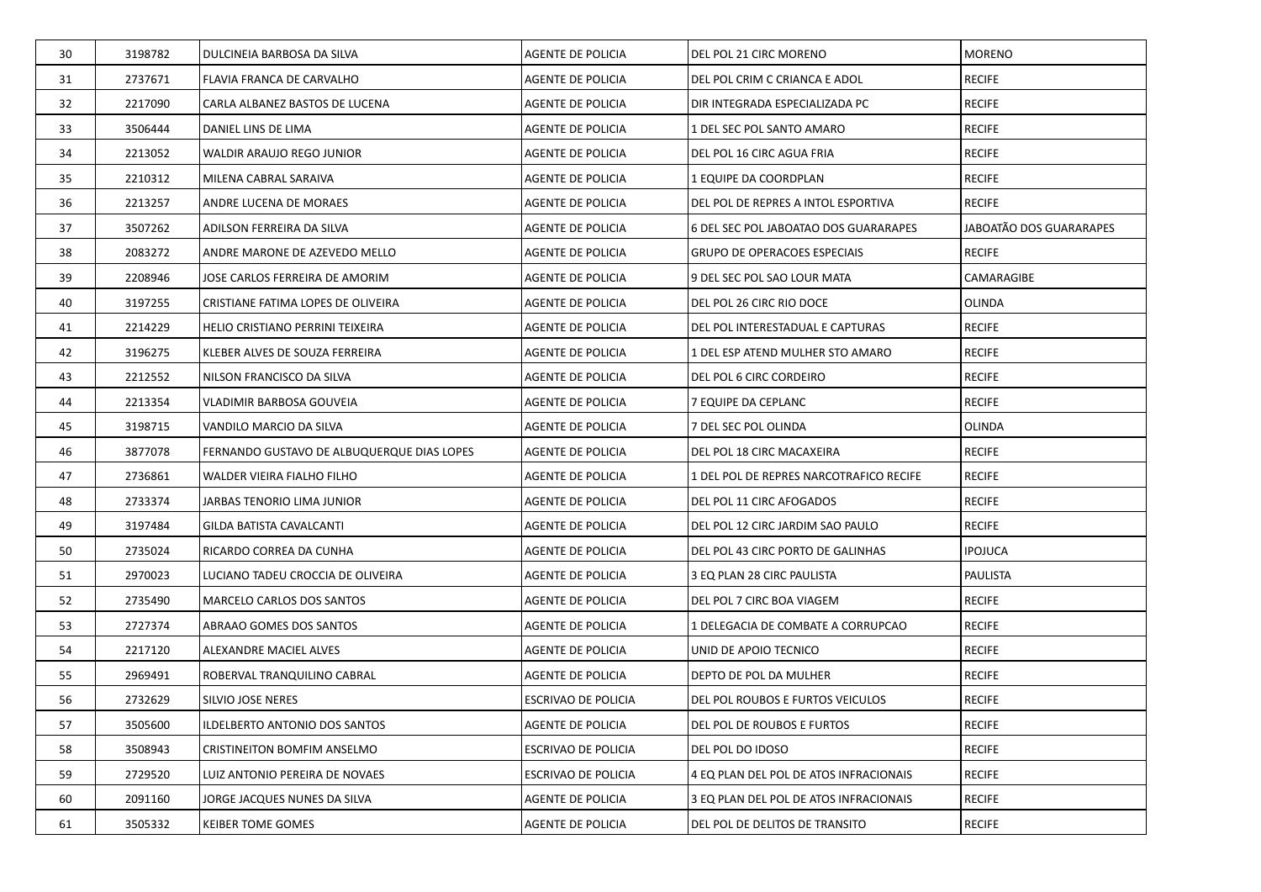| 30 | 3198782 | DULCINEIA BARBOSA DA SILVA                 | AGENTE DE POLICIA        | DEL POL 21 CIRC MORENO                  | <b>MORENO</b>           |
|----|---------|--------------------------------------------|--------------------------|-----------------------------------------|-------------------------|
| 31 | 2737671 | FLAVIA FRANCA DE CARVALHO                  | AGENTE DE POLICIA        | DEL POL CRIM C CRIANCA E ADOL           | <b>RECIFE</b>           |
| 32 | 2217090 | CARLA ALBANEZ BASTOS DE LUCENA             | AGENTE DE POLICIA        | DIR INTEGRADA ESPECIALIZADA PC          | <b>RECIFE</b>           |
| 33 | 3506444 | DANIEL LINS DE LIMA                        | AGENTE DE POLICIA        | 1 DEL SEC POL SANTO AMARO               | <b>RECIFE</b>           |
| 34 | 2213052 | WALDIR ARAUJO REGO JUNIOR                  | AGENTE DE POLICIA        | DEL POL 16 CIRC AGUA FRIA               | <b>RECIFE</b>           |
| 35 | 2210312 | MILENA CABRAL SARAIVA                      | AGENTE DE POLICIA        | 1 EQUIPE DA COORDPLAN                   | <b>RECIFE</b>           |
| 36 | 2213257 | ANDRE LUCENA DE MORAES                     | AGENTE DE POLICIA        | DEL POL DE REPRES A INTOL ESPORTIVA     | <b>RECIFE</b>           |
| 37 | 3507262 | ADILSON FERREIRA DA SILVA                  | AGENTE DE POLICIA        | 6 DEL SEC POL JABOATAO DOS GUARARAPES   | JABOATÃO DOS GUARARAPES |
| 38 | 2083272 | ANDRE MARONE DE AZEVEDO MELLO              | AGENTE DE POLICIA        | <b>GRUPO DE OPERACOES ESPECIAIS</b>     | <b>RECIFE</b>           |
| 39 | 2208946 | JOSE CARLOS FERREIRA DE AMORIM             | AGENTE DE POLICIA        | 9 DEL SEC POL SAO LOUR MATA             | CAMARAGIBE              |
| 40 | 3197255 | CRISTIANE FATIMA LOPES DE OLIVEIRA         | AGENTE DE POLICIA        | DEL POL 26 CIRC RIO DOCE                | OLINDA                  |
| 41 | 2214229 | HELIO CRISTIANO PERRINI TEIXEIRA           | AGENTE DE POLICIA        | DEL POL INTERESTADUAL E CAPTURAS        | <b>RECIFE</b>           |
| 42 | 3196275 | KLEBER ALVES DE SOUZA FERREIRA             | AGENTE DE POLICIA        | 1 DEL ESP ATEND MULHER STO AMARO        | <b>RECIFE</b>           |
| 43 | 2212552 | NILSON FRANCISCO DA SILVA                  | AGENTE DE POLICIA        | DEL POL 6 CIRC CORDEIRO                 | <b>RECIFE</b>           |
| 44 | 2213354 | VLADIMIR BARBOSA GOUVEIA                   | AGENTE DE POLICIA        | 7 EQUIPE DA CEPLANC                     | <b>RECIFE</b>           |
| 45 | 3198715 | VANDILO MARCIO DA SILVA                    | AGENTE DE POLICIA        | 7 DEL SEC POL OLINDA                    | OLINDA                  |
| 46 | 3877078 | FERNANDO GUSTAVO DE ALBUQUERQUE DIAS LOPES | AGENTE DE POLICIA        | DEL POL 18 CIRC MACAXEIRA               | <b>RECIFE</b>           |
| 47 | 2736861 | WALDER VIEIRA FIALHO FILHO                 | AGENTE DE POLICIA        | 1 DEL POL DE REPRES NARCOTRAFICO RECIFE | <b>RECIFE</b>           |
| 48 | 2733374 | JARBAS TENORIO LIMA JUNIOR                 | AGENTE DE POLICIA        | DEL POL 11 CIRC AFOGADOS                | <b>RECIFE</b>           |
| 49 | 3197484 | GILDA BATISTA CAVALCANTI                   | AGENTE DE POLICIA        | DEL POL 12 CIRC JARDIM SAO PAULO        | <b>RECIFE</b>           |
| 50 | 2735024 | RICARDO CORREA DA CUNHA                    | AGENTE DE POLICIA        | DEL POL 43 CIRC PORTO DE GALINHAS       | <b>IPOJUCA</b>          |
| 51 | 2970023 | LUCIANO TADEU CROCCIA DE OLIVEIRA          | AGENTE DE POLICIA        | 3 EQ PLAN 28 CIRC PAULISTA              | PAULISTA                |
| 52 | 2735490 | <b>MARCELO CARLOS DOS SANTOS</b>           | AGENTE DE POLICIA        | DEL POL 7 CIRC BOA VIAGEM               | <b>RECIFE</b>           |
| 53 | 2727374 | ABRAAO GOMES DOS SANTOS                    | AGENTE DE POLICIA        | 1 DELEGACIA DE COMBATE A CORRUPCAO      | <b>RECIFE</b>           |
| 54 | 2217120 | ALEXANDRE MACIEL ALVES                     | AGENTE DE POLICIA        | UNID DE APOIO TECNICO                   | <b>RECIFE</b>           |
| 55 | 2969491 | ROBERVAL TRANQUILINO CABRAL                | AGENTE DE POLICIA        | DEPTO DE POL DA MULHER                  | <b>RECIFE</b>           |
| 56 | 2732629 | SILVIO JOSE NERES                          | ESCRIVAO DE POLICIA      | DEL POL ROUBOS E FURTOS VEICULOS        | <b>RECIFE</b>           |
| 57 | 3505600 | ILDELBERTO ANTONIO DOS SANTOS              | <b>AGENTE DE POLICIA</b> | DEL POL DE ROUBOS E FURTOS              | <b>RECIFE</b>           |
| 58 | 3508943 | CRISTINEITON BOMFIM ANSELMO                | ESCRIVAO DE POLICIA      | DEL POL DO IDOSO                        | <b>RECIFE</b>           |
| 59 | 2729520 | LUIZ ANTONIO PEREIRA DE NOVAES             | ESCRIVAO DE POLICIA      | 4 EQ PLAN DEL POL DE ATOS INFRACIONAIS  | <b>RECIFE</b>           |
| 60 | 2091160 | JORGE JACQUES NUNES DA SILVA               | AGENTE DE POLICIA        | 3 EQ PLAN DEL POL DE ATOS INFRACIONAIS  | <b>RECIFE</b>           |
| 61 | 3505332 | <b>KEIBER TOME GOMES</b>                   | AGENTE DE POLICIA        | DEL POL DE DELITOS DE TRANSITO          | <b>RECIFE</b>           |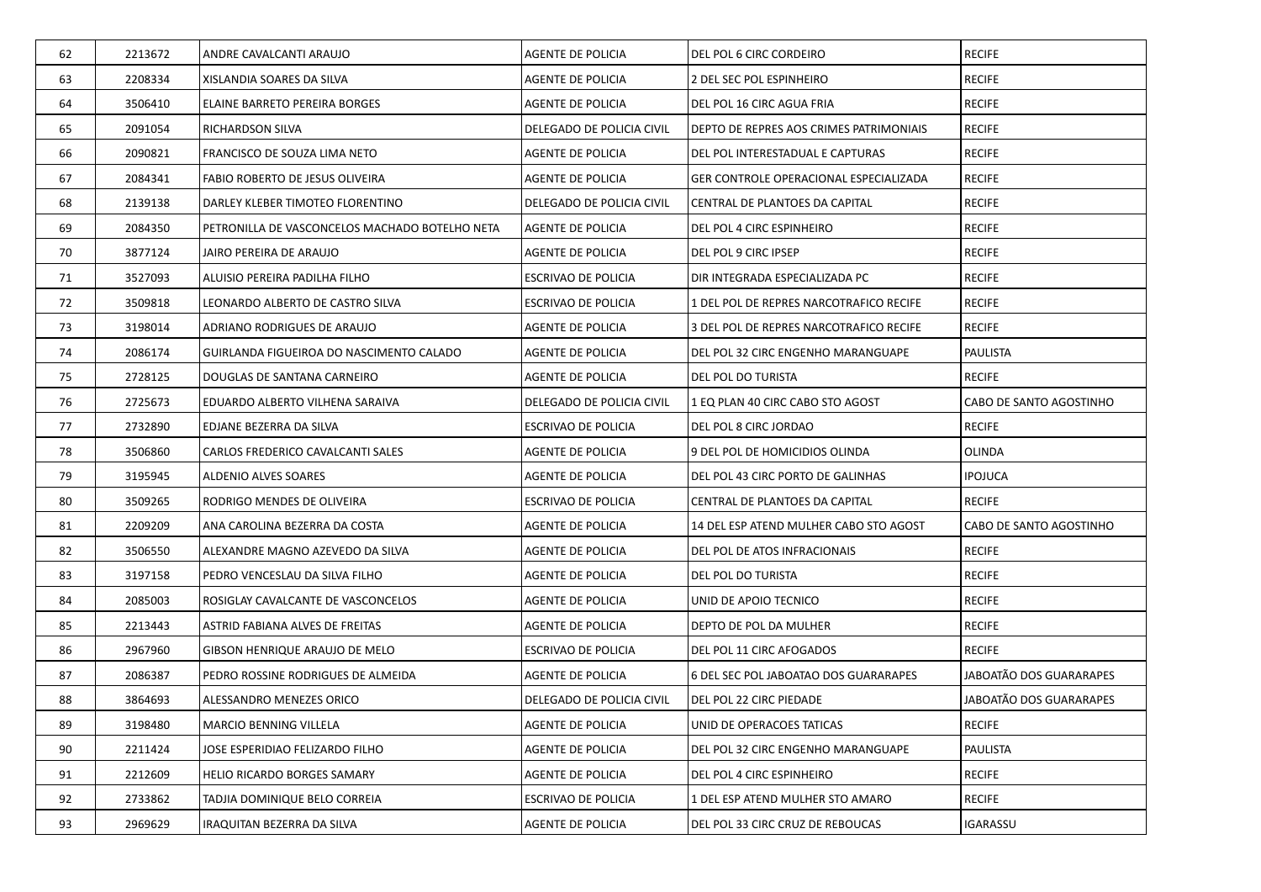| 62 | 2213672 | ANDRE CAVALCANTI ARAUJO                        | <b>AGENTE DE POLICIA</b>  | DEL POL 6 CIRC CORDEIRO                       | <b>RECIFE</b>           |
|----|---------|------------------------------------------------|---------------------------|-----------------------------------------------|-------------------------|
| 63 | 2208334 | XISLANDIA SOARES DA SILVA                      | AGENTE DE POLICIA         | 2 DEL SEC POL ESPINHEIRO                      | <b>RECIFE</b>           |
| 64 | 3506410 | ELAINE BARRETO PEREIRA BORGES                  | AGENTE DE POLICIA         | DEL POL 16 CIRC AGUA FRIA                     | <b>RECIFE</b>           |
| 65 | 2091054 | <b>RICHARDSON SILVA</b>                        | DELEGADO DE POLICIA CIVIL | DEPTO DE REPRES AOS CRIMES PATRIMONIAIS       | <b>RECIFE</b>           |
| 66 | 2090821 | FRANCISCO DE SOUZA LIMA NETO                   | AGENTE DE POLICIA         | DEL POL INTERESTADUAL E CAPTURAS              | <b>RECIFE</b>           |
| 67 | 2084341 | FABIO ROBERTO DE JESUS OLIVEIRA                | AGENTE DE POLICIA         | <b>GER CONTROLE OPERACIONAL ESPECIALIZADA</b> | <b>RECIFE</b>           |
| 68 | 2139138 | DARLEY KLEBER TIMOTEO FLORENTINO               | DELEGADO DE POLICIA CIVIL | CENTRAL DE PLANTOES DA CAPITAL                | <b>RECIFE</b>           |
| 69 | 2084350 | PETRONILLA DE VASCONCELOS MACHADO BOTELHO NETA | AGENTE DE POLICIA         | DEL POL 4 CIRC ESPINHEIRO                     | <b>RECIFE</b>           |
| 70 | 3877124 | JAIRO PEREIRA DE ARAUJO                        | AGENTE DE POLICIA         | <b>DEL POL 9 CIRC IPSEP</b>                   | <b>RECIFE</b>           |
| 71 | 3527093 | ALUISIO PEREIRA PADILHA FILHO                  | ESCRIVAO DE POLICIA       | DIR INTEGRADA ESPECIALIZADA PC                | <b>RECIFE</b>           |
| 72 | 3509818 | LEONARDO ALBERTO DE CASTRO SILVA               | ESCRIVAO DE POLICIA       | 1 DEL POL DE REPRES NARCOTRAFICO RECIFE       | <b>RECIFE</b>           |
| 73 | 3198014 | ADRIANO RODRIGUES DE ARAUJO                    | AGENTE DE POLICIA         | 3 DEL POL DE REPRES NARCOTRAFICO RECIFE       | <b>RECIFE</b>           |
| 74 | 2086174 | GUIRLANDA FIGUEIROA DO NASCIMENTO CALADO       | AGENTE DE POLICIA         | DEL POL 32 CIRC ENGENHO MARANGUAPE            | <b>PAULISTA</b>         |
| 75 | 2728125 | DOUGLAS DE SANTANA CARNEIRO                    | AGENTE DE POLICIA         | DEL POL DO TURISTA                            | <b>RECIFE</b>           |
| 76 | 2725673 | EDUARDO ALBERTO VILHENA SARAIVA                | DELEGADO DE POLICIA CIVIL | 1 EQ PLAN 40 CIRC CABO STO AGOST              | CABO DE SANTO AGOSTINHO |
| 77 | 2732890 | EDJANE BEZERRA DA SILVA                        | ESCRIVAO DE POLICIA       | DEL POL 8 CIRC JORDAO                         | <b>RECIFE</b>           |
| 78 | 3506860 | CARLOS FREDERICO CAVALCANTI SALES              | AGENTE DE POLICIA         | 9 DEL POL DE HOMICIDIOS OLINDA                | <b>OLINDA</b>           |
| 79 | 3195945 | ALDENIO ALVES SOARES                           | AGENTE DE POLICIA         | DEL POL 43 CIRC PORTO DE GALINHAS             | <b>IPOJUCA</b>          |
| 80 | 3509265 | RODRIGO MENDES DE OLIVEIRA                     | ESCRIVAO DE POLICIA       | CENTRAL DE PLANTOES DA CAPITAL                | <b>RECIFE</b>           |
| 81 | 2209209 | ANA CAROLINA BEZERRA DA COSTA                  | AGENTE DE POLICIA         | 14 DEL ESP ATEND MULHER CABO STO AGOST        | CABO DE SANTO AGOSTINHO |
| 82 | 3506550 | ALEXANDRE MAGNO AZEVEDO DA SILVA               | AGENTE DE POLICIA         | DEL POL DE ATOS INFRACIONAIS                  | <b>RECIFE</b>           |
| 83 | 3197158 | PEDRO VENCESLAU DA SILVA FILHO                 | AGENTE DE POLICIA         | DEL POL DO TURISTA                            | <b>RECIFE</b>           |
| 84 | 2085003 | ROSIGLAY CAVALCANTE DE VASCONCELOS             | AGENTE DE POLICIA         | UNID DE APOIO TECNICO                         | <b>RECIFE</b>           |
| 85 | 2213443 | ASTRID FABIANA ALVES DE FREITAS                | AGENTE DE POLICIA         | DEPTO DE POL DA MULHER                        | <b>RECIFE</b>           |
| 86 | 2967960 | GIBSON HENRIQUE ARAUJO DE MELO                 | ESCRIVAO DE POLICIA       | DEL POL 11 CIRC AFOGADOS                      | <b>RECIFE</b>           |
| 87 | 2086387 | PEDRO ROSSINE RODRIGUES DE ALMEIDA             | <b>AGENTE DE POLICIA</b>  | 6 DEL SEC POL JABOATAO DOS GUARARAPES         | JABOATÃO DOS GUARARAPES |
| 88 | 3864693 | ALESSANDRO MENEZES ORICO                       | DELEGADO DE POLICIA CIVIL | DEL POL 22 CIRC PIEDADE                       | JABOATÃO DOS GUARARAPES |
| 89 | 3198480 | <b>MARCIO BENNING VILLELA</b>                  | <b>AGENTE DE POLICIA</b>  | UNID DE OPERACOES TATICAS                     | <b>RECIFE</b>           |
| 90 | 2211424 | JOSE ESPERIDIAO FELIZARDO FILHO                | AGENTE DE POLICIA         | DEL POL 32 CIRC ENGENHO MARANGUAPE            | PAULISTA                |
| 91 | 2212609 | HELIO RICARDO BORGES SAMARY                    | AGENTE DE POLICIA         | DEL POL 4 CIRC ESPINHEIRO                     | <b>RECIFE</b>           |
| 92 | 2733862 | TADJIA DOMINIQUE BELO CORREIA                  | ESCRIVAO DE POLICIA       | 1 DEL ESP ATEND MULHER STO AMARO              | <b>RECIFE</b>           |
| 93 | 2969629 | IRAQUITAN BEZERRA DA SILVA                     | AGENTE DE POLICIA         | DEL POL 33 CIRC CRUZ DE REBOUCAS              | <b>IGARASSU</b>         |